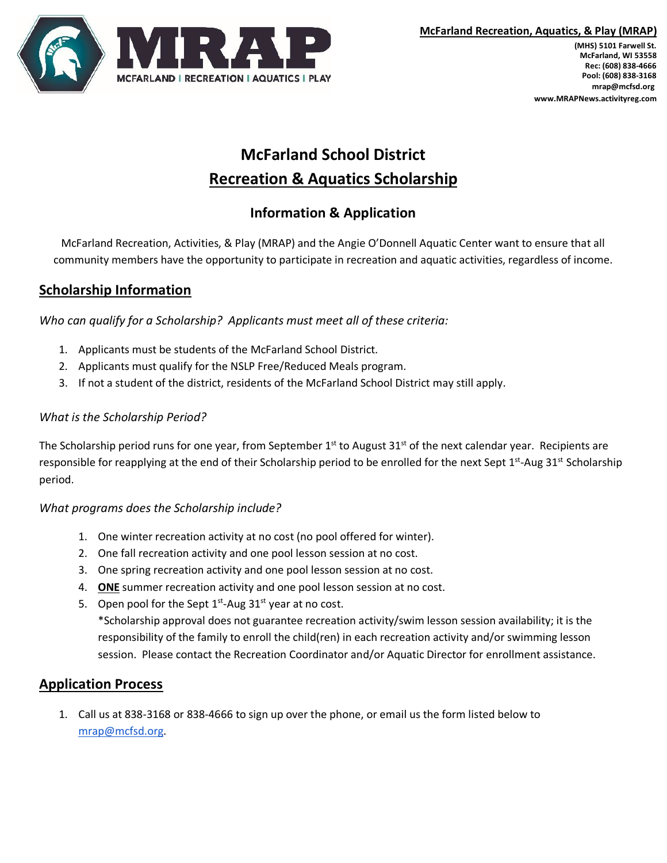

**(MHS) 5101 Farwell St. McFarland, WI 53558 Rec: (608) 838-4666 Pool: (608) 838-3168 mrap@mcfsd.org www.MRAPNews.activityreg.com**

# **McFarland School District Recreation & Aquatics Scholarship**

# **Information & Application**

McFarland Recreation, Activities, & Play (MRAP) and the Angie O'Donnell Aquatic Center want to ensure that all community members have the opportunity to participate in recreation and aquatic activities, regardless of income.

## **Scholarship Information**

*Who can qualify for a Scholarship? Applicants must meet all of these criteria:*

- 1. Applicants must be students of the McFarland School District.
- 2. Applicants must qualify for the NSLP Free/Reduced Meals program.
- 3. If not a student of the district, residents of the McFarland School District may still apply.

### *What is the Scholarship Period?*

The Scholarship period runs for one year, from September  $1^{st}$  to August 31st of the next calendar year. Recipients are responsible for reapplying at the end of their Scholarship period to be enrolled for the next Sept  $1<sup>st</sup>$ -Aug 31<sup>st</sup> Scholarship period.

### *What programs does the Scholarship include?*

- 1. One winter recreation activity at no cost (no pool offered for winter).
- 2. One fall recreation activity and one pool lesson session at no cost.
- 3. One spring recreation activity and one pool lesson session at no cost.
- 4. **ONE** summer recreation activity and one pool lesson session at no cost.
- 5. Open pool for the Sept  $1<sup>st</sup>$ -Aug 31<sup>st</sup> year at no cost. \*Scholarship approval does not guarantee recreation activity/swim lesson session availability; it is the responsibility of the family to enroll the child(ren) in each recreation activity and/or swimming lesson session. Please contact the Recreation Coordinator and/or Aquatic Director for enrollment assistance.

### **Application Process**

1. Call us at 838-3168 or 838-4666 to sign up over the phone, or email us the form listed below to [mrap@mcfsd.org.](mailto:mrap@mcfsd.org)